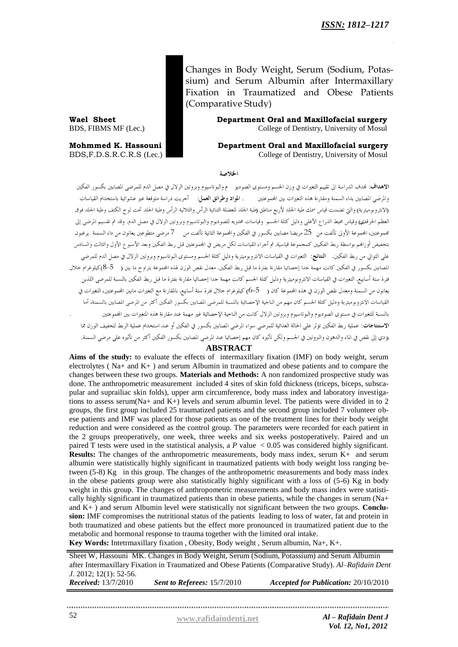Changes in Body Weight, Serum (Sodium, Potassium) and Serum Albumin after Intermaxillary Fixation in Traumatized and Obese Patients (Comparative Study)

**Wael Sheet Department Oral and Maxillofacial surgery** BDS, FIBMS MF (Lec.) College of Dentistry, University of Mosul

**Mohmmed K. Hassouni Department Oral and Maxillofacial surgery** BDS,F.D.S.R.C.R.S (Lec.) College of Dentistry, University of Mosul

الخلاصة

الاهداف: لهدف الدراسة الى تقييم التغيرات في وزن الجسم ومستوى الصوديو م والبوتاسيوم وبروتين الزلال في مصل الدم للمرضى المصابين بكسور الفكين .<br>والمرضى المصابين بداء السمنة ومقارنة هذه التغيرات بين المجموعتين . ا**لمواد وطرائق العمل**: أجريت دراسة متوقعة غير عشوائية باستخدام القياسات (الانثروبوميترية) والتي تضمنت قياس سمك طية الجلد لأربع مناطق (طية الجلد للعضلة الثنائية الرأس والثلاثية الرأس وطية الجلد تحت لوح الكتف وطية الجلد فوق العظم الحرقفيي) وقياس محيط الذراع الأعلى ودليل كتلة الجسم وقياسات مختبريه للصوديوم والبوتاسيوم وبروتين الزلال في مصل الدم. وقد تم تقسيم المرضى إلى مجموعتين، المجموعة الأولى تألفت من 25 مريضا مصابين بكسور في الفكين والمجموعة الثانية تألفت من 7 مرضى متطوعين يعانون من داء السمنة يرغبون بتخفيض أوزافم بواسطة ربط الفكيين كمجموعة قياسية. تم أجراء القياسات لكل مريض في المحموعتين قبل ربط الفكين وبعد الأسبوع الأول والثالث والسادس على التوالي من ربط الفكين. ا**لنتائج**: التغيرات في القياسات الانثروبوميترية ودليل كتلة الجسم ومستوى البوتاسيوم وبروتين الزلال في مصل الدم للمرضى .<br>المصابين بكسور في الفكين كانت مهمة حدا إحصائيا مقارنة بفترة ما قبل ربط الفكين. معدل نقص الوزن لهذه المجموعة يتراوح ما بين ( 5–8)كيلوغرام حلال فترة ستة أسابيع, التغيرات في القياسات الانثروبوميترية ودليل كتلة الجسم كانت مهمة جدا إحصائيا مقارنة بفترة ما قبل ربط الفكين بالنسبة للمرضى اللذين يعانون من السمنة ومعدل نقص الوزن في هذه المجموعة كان ( 5–6) كيلوغرام حلال فترة ستة أسابيع. بالمقارنة مع التغيرات مابين المجموعتين، التغيرات في .<br>القياسات الانثروبوميترية ودليل كتلة الجسم كان مهم من الناحية الإحصائية بالنسبة للمرضى المصابين بكسور الفكين أكثر من المرضى المصابين بالسمنة، أما .<br>بالنسبة للتغيرات في مستوى الصوديوم والبوتاسيوم وبروتين الزلال كانت من الناحية الإحصائية غير مهمة عند مقارنة هذه المتغيرات بين المحموعتين الاستنتاجات: عملية ربط الفكين تؤثر على الحالة الغذائية للمرضى سواء المرضى المصابين بكسور في الفكين أو عند استخدام عملية الربط لتخفيف الوزن مما يؤدي إلى نقص في الماء والدهون والبروتين في الجسم ولكن تأثيره كان مهم إحصائيا عند المرضى المصابين بكسور الفكين أكثر من تأثيره على مرضى السمنة.

### **ABSTRACT**

Aims of the study: to evaluate the effects of intermaxillary fixation (IMF) on body weight, serum electrolytes ( Na+ and K+ ) and serum Albumin in traumatized and obese patients and to compare the changes between these two groups. **Materials and Methods:** A non randomized prospective study was done. The anthropometric measurement included 4 sites of skin fold thickness (triceps, biceps, subscapular and suprailiac skin folds), upper arm circumference, body mass index and laboratory investigations to assess serum(Na+ and K+) levels and serum albumin level. The patients were divided in to 2 groups, the first group included 25 traumatized patients and the second group included 7 volunteer obese patients and IMF was placed for those patients as one of the treatment lines for their body weight reduction and were considered as the control group. The parameters were recorded for each patient in the 2 groups preoperatively, one week, three weeks and six weeks postoperatively. Paired and un paired T tests were used in the statistical analysis, a *P* value < 0.05 was considered highly significant. **Results:** The changes of the anthropometric measurements, body mass index, serum K+ and serum albumin were statistically highly significant in traumatized patients with body weight loss ranging between (5-8) Kg in this group. The changes of the anthropometric measurements and body mass index in the obese patients group were also statistically highly significant with a loss of (5-6) Kg in body weight in this group. The changes of anthropometric measurements and body mass index were statistically highly significant in traumatized patients than in obese patients, while the changes in serum (Na+ and K+ ) and serum Albumin level were statistically not significant between the two groups. **Conclusion:** IMF compromises the nutritional status of the patients leading to loss of water, fat and protein in both traumatized and obese patients but the effect more pronounced in traumatized patient due to the metabolic and hormonal response to trauma together with the limited oral intake.

**Key Words:** Intetrmaxillary fixation , Obesity, Body weight , Serum albumin, Na+, K+.

Sheet W, Hassouni MK. Changes in Body Weight, Serum (Sodium, Potassium) and Serum Albumin after Intermaxillary Fixation in Traumatized and Obese Patients (Comparative Study). *Al–Rafidain Dent J*. 2012; 12(1): 52-56. *Received:* 13/7/2010 *Sent to Referees:* 15/7/2010 *Accepted for Publication:* 20/10/2010

52 **[www.rafidaindentj.net](file:///I:\7(1)%20fi\www.rafidaindentj.net)** *Al – Rafidain Dent J Vol. 12, No1, 2012*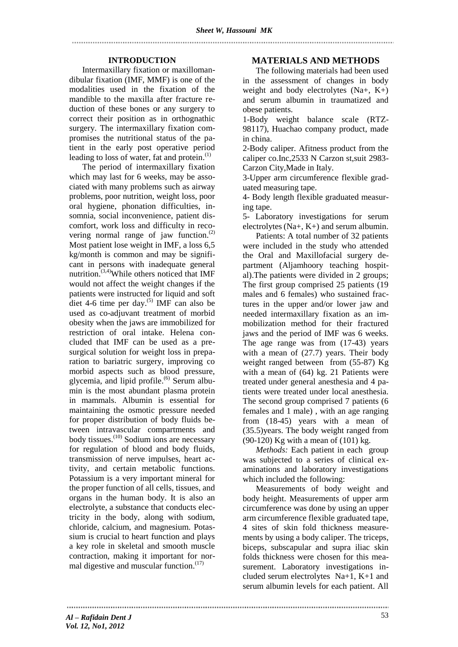### **INTRODUCTION**

Intermaxillary fixation or maxillomandibular fixation (IMF, MMF) is one of the modalities used in the fixation of the mandible to the maxilla after fracture reduction of these bones or any surgery to correct their position as in orthognathic surgery. The intermaxillary fixation compromises the nutritional status of the patient in the early post operative period leading to loss of water, fat and protein.<sup>(1)</sup>

The period of intermaxillary fixation which may last for 6 weeks, may be associated with many problems such as airway problems, poor nutrition, weight loss, poor oral hygiene, phonation difficulties, insomnia, social inconvenience, patient discomfort, work loss and difficulty in recovering normal range of jaw function.<sup>(2)</sup> Most patient lose weight in IMF, a loss 6,5 kg/month is common and may be significant in persons with inadequate general nutrition.<sup>(3,4)</sup>While others noticed that IMF would not affect the weight changes if the patients were instructed for liquid and soft diet 4-6 time per day.<sup>(5)</sup> IMF can also be used as co-adjuvant treatment of morbid obesity when the jaws are immobilized for restriction of oral intake. Helena concluded that IMF can be used as a presurgical solution for weight loss in preparation to bariatric surgery, improving co morbid aspects such as blood pressure, glycemia, and lipid profile.<sup>(6)</sup> Serum albumin is the most abundant [plasma protein](http://en.wikipedia.org/wiki/Plasma_protein) in [mammals.](http://en.wikipedia.org/wiki/Mammal) Albumin is essential for maintaining the [osmotic pressure](http://en.wikipedia.org/wiki/Osmotic_pressure) needed for proper distribution of [body fluids](http://en.wikipedia.org/wiki/Body_fluid) between intravascular compartments and body tissues.<sup>(10)</sup> Sodium ions are necessary for regulation of blood and body fluids, transmission of nerve impulses, heart activity, and certain metabolic functions. Potassium is a very important mineral for the proper function of all cells, tissues, and organs in the human body. It is also an electrolyte, a substance that conducts electricity in the body, along with sodium, chloride, calcium, and magnesium. Potassium is crucial to heart function and plays a key role in skeletal and smooth muscle contraction, making it important for normal digestive and muscular function.<sup>(17)</sup>

## **MATERIALS AND METHODS**

The following materials had been used in the assessment of changes in body weight and body electrolytes  $(Na+$ ,  $K+$ ) and serum albumin in traumatized and obese patients.

1-Body weight balance scale (RTZ-98117), Huachao company product, made in china.

2-Body caliper. Afitness product from the caliper co.Inc,2533 N Carzon st,suit 2983- Carzon City,Made in Italy.

3-Upper arm circumference flexible graduated measuring tape.

4- Body length flexible graduated measuring tape.

5- Laboratory investigations for serum electrolytes (Na+, K+) and serum albumin.

Patients: A total number of 32 patients were included in the study who attended the Oral and Maxillofacial surgery department (Aljamhoory teaching hospital).The patients were divided in 2 groups; The first group comprised 25 patients (19 males and 6 females) who sustained fractures in the upper and/or lower jaw and needed intermaxillary fixation as an immobilization method for their fractured jaws and the period of IMF was 6 weeks. The age range was from (17-43) years with a mean of (27.7) years. Their body weight ranged between from (55-87) Kg with a mean of (64) kg. 21 Patients were treated under general anesthesia and 4 patients were treated under local anesthesia. The second group comprised 7 patients (6 females and 1 male) , with an age ranging from (18-45) years with a mean of (35.5)years. The body weight ranged from (90-120) Kg with a mean of (101) kg.

*Methods:* Each patient in each group was subjected to a series of clinical examinations and laboratory investigations which included the following:

Measurements of body weight and body height. Measurements of upper arm circumference was done by using an upper arm circumference flexible graduated tape, 4 sites of skin fold thickness measurements by using a body caliper. The triceps, biceps, subscapular and supra iliac skin folds thickness were chosen for this measurement. Laboratory investigations included serum electrolytes Na+1, K+1 and serum albumin levels for each patient. All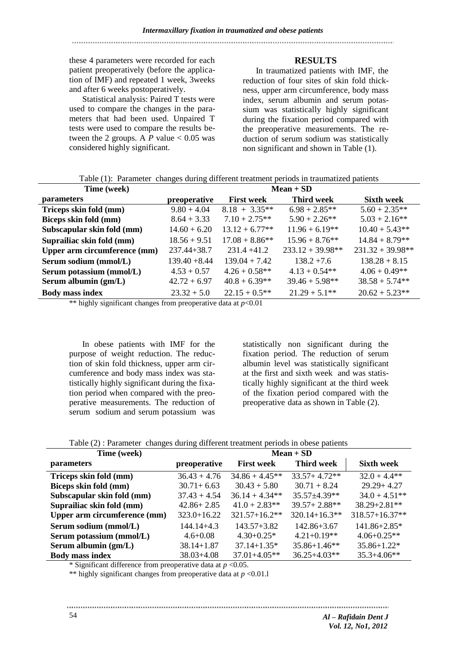# these 4 parameters were recorded for each patient preoperatively (before the application of IMF) and repeated 1 week, 3weeks and after 6 weeks postoperatively.

Statistical analysis: Paired T tests were used to compare the changes in the parameters that had been used. Unpaired T tests were used to compare the results between the 2 groups. A  $P$  value  $< 0.05$  was considered highly significant.

# **RESULTS**

In traumatized patients with IMF, the reduction of four sites of skin fold thickness, upper arm circumference, body mass index, serum albumin and serum potassium was statistically highly significant during the fixation period compared with the preoperative measurements. The reduction of serum sodium was statistically non significant and shown in Table (1).

| Time (week)                  | Tuoto (1). Turumotor Ununguo uuring unterent troumont periodo in truumumou putrento<br>$Mean + SD$ |                   |                    |                    |  |
|------------------------------|----------------------------------------------------------------------------------------------------|-------------------|--------------------|--------------------|--|
|                              |                                                                                                    |                   |                    |                    |  |
| parameters                   | preoperative                                                                                       | <b>First week</b> | <b>Third week</b>  | <b>Sixth week</b>  |  |
| Triceps skin fold (mm)       | $9.80 + 4.04$                                                                                      | $8.18 + 3.35**$   | $6.98 + 2.85**$    | $5.60 + 2.35**$    |  |
| Biceps skin fold (mm)        | $8.64 + 3.33$                                                                                      | $7.10 + 2.75**$   | $5.90 + 2.26$ **   | $5.03 + 2.16**$    |  |
| Subscapular skin fold (mm)   | $14.60 + 6.20$                                                                                     | $13.12 + 6.77**$  | $11.96 + 6.19**$   | $10.40 + 5.43**$   |  |
| Suprailiac skin fold (mm)    | $18.56 + 9.51$                                                                                     | $17.08 + 8.86**$  | $15.96 + 8.76$ **  | $14.84 + 8.79**$   |  |
| Upper arm circumference (mm) | $237.44 + 38.7$                                                                                    | $231.4 +41.2$     | $233.12 + 39.98**$ | $231.32 + 39.98**$ |  |
| Serum sodium (mmol/L)        | $139.40 + 8.44$                                                                                    | $139.04 + 7.42$   | $138.2 + 7.6$      | $138.28 + 8.15$    |  |
| Serum potassium (mmol/L)     | $4.53 + 0.57$                                                                                      | $4.26 + 0.58**$   | $4.13 + 0.54**$    | $4.06 + 0.49**$    |  |
| Serum albumin (gm/L)         | $42.72 + 6.97$                                                                                     | $40.8 + 6.39**$   | $39.46 + 5.98**$   | $38.58 + 5.74**$   |  |
| <b>Body mass index</b>       | $23.32 + 5.0$                                                                                      | $22.15 + 0.5**$   | $21.29 + 5.1**$    | $20.62 + 5.23**$   |  |

Table (1): Parameter changes during different treatment periods in traumatized patients

\*\* highly significant changes from preoperative data at *p*<0.01

In obese patients with IMF for the purpose of weight reduction. The reduction of skin fold thickness, upper arm circumference and body mass index was statistically highly significant during the fixation period when compared with the preoperative measurements. The reduction of serum sodium and serum potassium was

statistically non significant during the fixation period. The reduction of serum albumin level was statistically significant at the first and sixth week and was statistically highly significant at the third week of the fixation period compared with the preoperative data as shown in Table (2).

| Time (week)                  | $Mean + SD$     |                   |                    |                   |  |
|------------------------------|-----------------|-------------------|--------------------|-------------------|--|
| <i>parameters</i>            | preoperative    | <b>First week</b> | <b>Third week</b>  | <b>Sixth week</b> |  |
| Triceps skin fold (mm)       | $36.43 + 4.76$  | $34.86 + 4.45**$  | $33.57 + 4.72**$   | $32.0 + 4.4**$    |  |
| Biceps skin fold (mm)        | $30.71 + 6.63$  | $30.43 + 5.80$    | $30.71 + 8.24$     | $29.29 + 4.27$    |  |
| Subscapular skin fold (mm)   | $37.43 + 4.54$  | $36.14 + 4.34**$  | 35.57±4.39**       | $34.0 + 4.51**$   |  |
| Suprailiac skin fold (mm)    | $42.86 + 2.85$  | $41.0 + 2.83**$   | $39.57 + 2.88$ **  | $38.29 + 2.81$ ** |  |
| Upper arm circumference (mm) | $323.0 + 16.22$ | $321.57 + 16.2**$ | $320.14 + 16.3$ ** | 318.57+16.37**    |  |
| Serum sodium (mmol/L)        | $144.14 + 4.3$  | $143.57 + 3.82$   | $142.86 + 3.67$    | $141.86 + 2.85*$  |  |
| Serum potassium (mmol/L)     | $4.6 + 0.08$    | $4.30+0.25*$      | $4.21 + 0.19**$    | $4.06 + 0.25**$   |  |
| Serum albumin $(gm/L)$       | $38.14 + 1.87$  | $37.14 + 1.35*$   | $35.86 + 1.46**$   | $35.86 + 1.22*$   |  |
| <b>Body mass index</b>       | $38.03 + 4.08$  | $37.01 + 4.05**$  | $36.25 + 4.03**$   | $35.3 + 4.06**$   |  |

\* Significant difference from preoperative data at *p* <0.05.

\*\* highly significant changes from preoperative data at *p* <0.01.l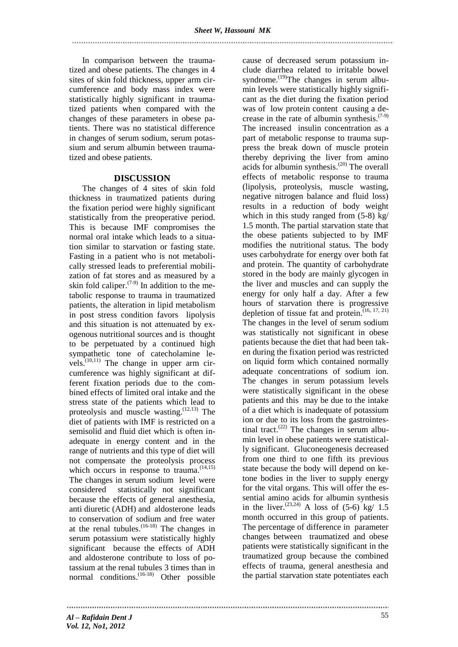In comparison between the traumatized and obese patients. The changes in 4 sites of skin fold thickness, upper arm circumference and body mass index were statistically highly significant in traumatized patients when compared with the changes of these parameters in obese patients. There was no statistical difference in changes of serum sodium, serum potassium and serum albumin between traumatized and obese patients.

### **DISCUSSION**

The changes of 4 sites of skin fold thickness in traumatized patients during the fixation period were highly significant statistically from the preoperative period. This is because IMF compromises the normal oral intake which leads to a situation similar to starvation or fasting state. Fasting in a patient who is not metabolically stressed leads to preferential mobilization of fat stores and as measured by a skin fold caliper. $(7-9)$  In addition to the metabolic response to trauma in traumatized patients, the alteration in lipid metabolism in post stress condition favors lipolysis and this situation is not attenuated by exogenous nutritional sources and is thought to be perpetuated by a continued high sympathetic tone of catecholamine levels. $^{(10,11)}$  The change in upper arm circumference was highly significant at different fixation periods due to the combined effects of limited oral intake and the stress state of the patients which lead to proteolysis and muscle wasting.  $(12,13)$  The diet of patients with IMF is restricted on a semisolid and fluid diet which is often inadequate in energy content and in the range of nutrients and this type of diet will not compensate the proteolysis process which occurs in response to trauma.<sup>(14,15)</sup> The changes in serum sodium level were considered statistically not significant because the effects of general anesthesia, anti diuretic (ADH) and aldosterone leads to conservation of sodium and free water at the renal tubules.  $(16-18)$  The changes in serum potassium were statistically highly significant because the effects of ADH and aldosterone contribute to loss of potassium at the renal tubules 3 times than in normal conditions.  $(16-18)$  Other possible

cause of decreased serum potassium include diarrhea related to irritable bowel syndrome.<sup>(19)</sup>The changes in serum albumin levels were statistically highly significant as the diet during the fixation period was of low protein content causing a decrease in the rate of albumin synthesis. $(7-9)$ The increased insulin concentration as a part of metabolic response to trauma suppress the break down of muscle protein thereby depriving the liver from amino acids for albumin synthesis. (20) The overall effects of metabolic response to trauma (lipolysis, proteolysis, muscle wasting, negative nitrogen balance and fluid loss) results in a reduction of body weight which in this study ranged from (5-8) kg/ 1.5 month. The partial starvation state that the obese patients subjected to by IMF modifies the nutritional status. The body uses carbohydrate for energy over both fat and protein. The quantity of carbohydrate stored in the body are mainly glycogen in the liver and muscles and can supply the energy for only half a day. After a few hours of starvation there is progressive depletion of tissue fat and protein.  $(16, 17, 21)$ The changes in the level of serum sodium was statistically not significant in obese patients because the diet that had been taken during the fixation period was restricted on liquid form which contained normally adequate concentrations of sodium ion. The changes in serum potassium levels were statistically significant in the obese patients and this may be due to the intake of a diet which is inadequate of potassium ion or due to its loss from the gastrointestinal tract. $(22)$  The changes in serum albumin level in obese patients were statistically significant. Gluconeogenesis decreased from one third to one fifth its previous state because the body will depend on ketone bodies in the liver to supply energy for the vital organs. This will offer the essential amino acids for albumin synthesis in the liver.  $(23,24)$  A loss of  $(5-6)$  kg/ 1.5 month occurred in this group of patients. The percentage of difference in parameter changes between traumatized and obese patients were statistically significant in the traumatized group because the combined effects of trauma, general anesthesia and the partial starvation state potentiates each